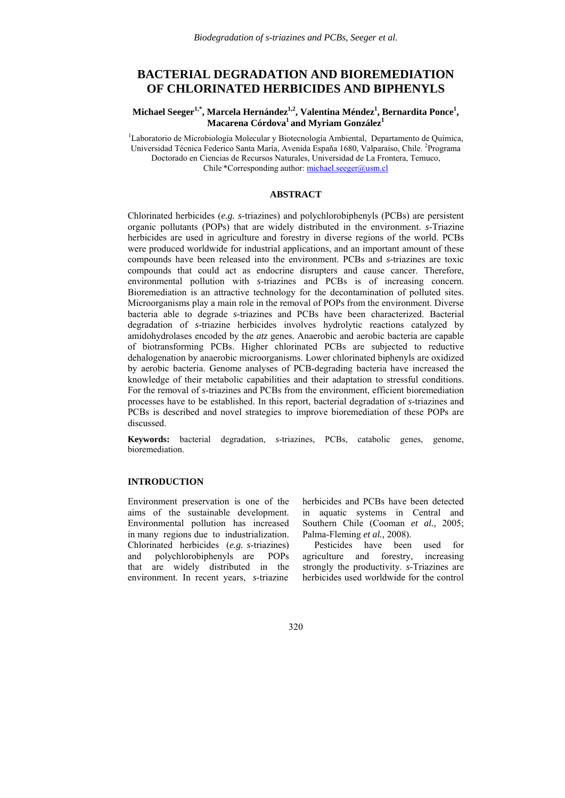# **BACTERIAL DEGRADATION AND BIOREMEDIATION OF CHLORINATED HERBICIDES AND BIPHENYLS**

Michael Seeger<sup>1,\*</sup>, Marcela Hernández<sup>1,2</sup>, Valentina Méndez<sup>1</sup>, Bernardita Ponce<sup>1</sup>,  $M$ acarena Córdova $^1$  and Myriam González $^1$ 

<sup>1</sup>Laboratorio de Microbiología Molecular y Biotecnología Ambiental, Departamento de Química, Universidad Técnica Federico Santa María, Avenida España 1680, Valparaíso, Chile. <sup>2</sup>Programa Doctorado en Ciencias de Recursos Naturales, Universidad de La Frontera, Temuco, Chile \*Corresponding author: michael.seeger@usm.cl

### **ABSTRACT**

Chlorinated herbicides (*e.g. s*-triazines) and polychlorobiphenyls (PCBs) are persistent organic pollutants (POPs) that are widely distributed in the environment. *s*-Triazine herbicides are used in agriculture and forestry in diverse regions of the world. PCBs were produced worldwide for industrial applications, and an important amount of these compounds have been released into the environment. PCBs and *s*-triazines are toxic compounds that could act as endocrine disrupters and cause cancer. Therefore, environmental pollution with *s*-triazines and PCBs is of increasing concern. Bioremediation is an attractive technology for the decontamination of polluted sites. Microorganisms play a main role in the removal of POPs from the environment. Diverse bacteria able to degrade *s*-triazines and PCBs have been characterized. Bacterial degradation of *s*-triazine herbicides involves hydrolytic reactions catalyzed by amidohydrolases encoded by the *atz* genes. Anaerobic and aerobic bacteria are capable of biotransforming PCBs. Higher chlorinated PCBs are subjected to reductive dehalogenation by anaerobic microorganisms. Lower chlorinated biphenyls are oxidized by aerobic bacteria. Genome analyses of PCB-degrading bacteria have increased the knowledge of their metabolic capabilities and their adaptation to stressful conditions. For the removal of *s*-triazines and PCBs from the environment, efficient bioremediation processes have to be established. In this report, bacterial degradation of *s*-triazines and PCBs is described and novel strategies to improve bioremediation of these POPs are discussed.

**Keywords:** bacterial degradation, *s*-triazines, PCBs, catabolic genes, genome, bioremediation.

### **INTRODUCTION**

Environment preservation is one of the aims of the sustainable development. Environmental pollution has increased in many regions due to industrialization. Chlorinated herbicides (*e.g. s*-triazines) and polychlorobiphenyls are POPs that are widely distributed in the environment. In recent years, *s*-triazine

herbicides and PCBs have been detected in aquatic systems in Central and Southern Chile (Cooman *et al.,* 2005; Palma-Fleming *et al.,* 2008).

 Pesticides have been used for agriculture and forestry, increasing strongly the productivity. *s*-Triazines are herbicides used worldwide for the control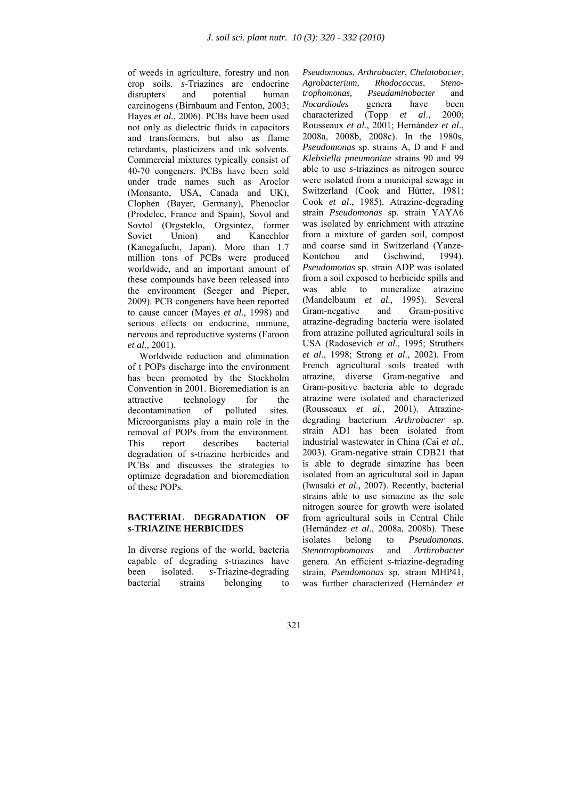of weeds in agriculture, forestry and non crop soils. *s*-Triazines are endocrine disrupters and potential human carcinogens (Birnbaum and Fenton, 2003; Hayes *et al.,* 2006). PCBs have been used not only as dielectric fluids in capacitors and transformers, but also as flame retardants, plasticizers and ink solvents. Commercial mixtures typically consist of 40-70 congeners. PCBs have been sold under trade names such as Aroclor (Monsanto, USA, Canada and UK), Clophen (Bayer, Germany), Phenoclor (Prodelec, France and Spain), Sovol and Sovtol (Orgsteklo, Orgsintez, former Soviet Union) and Kanechlor (Kanegafuchi, Japan). More than 1.7 million tons of PCBs were produced worldwide, and an important amount of these compounds have been released into the environment (Seeger and Pieper, 2009). PCB congeners have been reported to cause cancer (Mayes *et al.,* 1998) and serious effects on endocrine, immune, nervous and reproductive systems (Faroon *et al.,* 2001).

 Worldwide reduction and elimination of t POPs discharge into the environment has been promoted by the Stockholm Convention in 2001. Bioremediation is an attractive technology for the<br>decontamination of polluted sites. decontamination of polluted sites. Microorganisms play a main role in the removal of POPs from the environment. This report describes bacterial degradation of *s-*triazine herbicides and PCBs and discusses the strategies to optimize degradation and bioremediation of these POPs.

# **BACTERIAL DEGRADATION OF**  *s***-TRIAZINE HERBICIDES**

In diverse regions of the world, bacteria capable of degrading *s*-triazines have been isolated. *s*-Triazine-degrading bacterial strains belonging to

*Pseudomonas*, *Arthrobacter*, *Chelatobacter*, *Agrobacterium, Rhodococcus*, *Stenotrophomonas, Pseudaminobacter* and *Nocardiodes* genera have been characterized (Topp *et al*., 2000; Rousseaux *et al*., 2001; Hernández *et al*., 2008a, 2008b, 2008c). In the 1980s, *Pseudomonas* sp. strains A, D and F and *Klebsiella pneumoniae* strains 90 and 99 able to use *s*-triazines as nitrogen source were isolated from a municipal sewage in Switzerland (Cook and Hütter, 1981; Cook *et al*., 1985). Atrazine-degrading strain *Pseudomonas* sp. strain YAYA6 was isolated by enrichment with atrazine from a mixture of garden soil, compost and coarse sand in Switzerland (Yanze-Kontchou and Gschwind, 1994). *Pseudomonas* sp. strain ADP was isolated from a soil exposed to herbicide spills and was able to mineralize atrazine (Mandelbaum *et al.,* 1995). Several Gram-negative and Gram-positive atrazine-degrading bacteria were isolated from atrazine polluted agricultural soils in USA (Radosevich *et al*., 1995; Struthers *et al*., 1998; Strong *et al*., 2002). From French agricultural soils treated with atrazine, diverse Gram-negative and Gram-positive bacteria able to degrade atrazine were isolated and characterized (Rousseaux *et al.,* 2001). Atrazinedegrading bacterium *Arthrobacter* sp. strain AD1 has been isolated from industrial wastewater in China (Cai *et al*., 2003). Gram-negative strain CDB21 that is able to degrade simazine has been isolated from an agricultural soil in Japan (Iwasaki *et al.,* 2007). Recently, bacterial strains able to use simazine as the sole nitrogen source for growth were isolated from agricultural soils in Central Chile (Hernández *et al*., 2008a, 2008b). These isolates belong to *Pseudomonas*, *Stenotrophomonas* and *Arthrobacter* genera. An efficient *s*-triazine-degrading strain, *Pseudomonas* sp. strain MHP41, was further characterized (Hernández *et*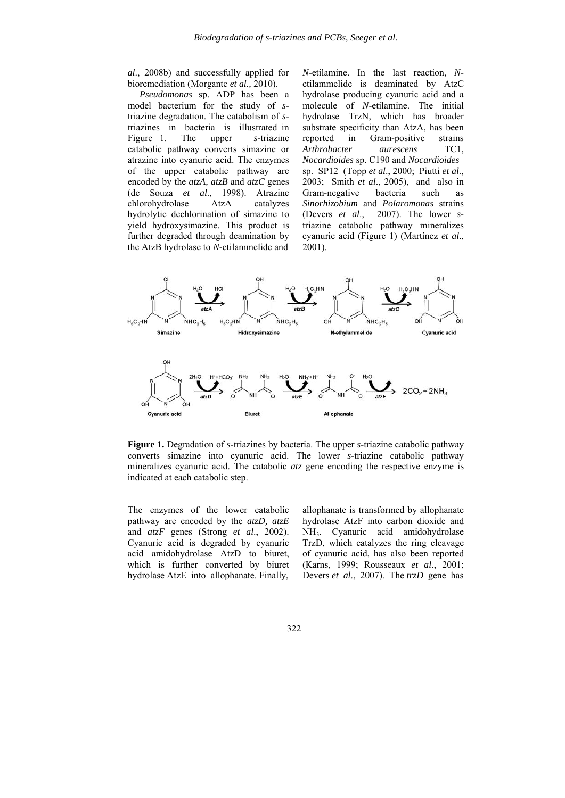*al*., 2008b) and successfully applied for bioremediation (Morgante *et al.,* 2010).

 *Pseudomonas* sp. ADP has been a model bacterium for the study of *s*triazine degradation. The catabolism of *s*triazines in bacteria is illustrated in Figure 1. The upper *s*-triazine catabolic pathway converts simazine or atrazine into cyanuric acid. The enzymes of the upper catabolic pathway are encoded by the *atzA, atzB* and *atzC* genes (de Souza *et al*., 1998). Atrazine chlorohydrolase AtzA catalyzes hydrolytic dechlorination of simazine to yield hydroxysimazine. This product is further degraded through deamination by the AtzB hydrolase to *N*-etilammelide and

*N*-etilamine. In the last reaction, *N*etilammelide is deaminated by AtzC hydrolase producing cyanuric acid and a molecule of *N*-etilamine. The initial hydrolase TrzN, which has broader substrate specificity than AtzA, has been reported in Gram-positive strains *Arthrobacter aurescens* TC1, *Nocardioides* sp. C190 and *Nocardioides* sp. SP12 (Topp *et al*., 2000; Piutti *et al*., 2003; Smith *et al*., 2005), and also in Gram-negative bacteria such as *Sinorhizobium* and *Polaromonas* strains (Devers *et al*., 2007). The lower *s*triazine catabolic pathway mineralizes cyanuric acid (Figure 1) (Martínez *et al*., 2001).



**Figure 1.** Degradation of *s*-triazines by bacteria. The upper *s*-triazine catabolic pathway converts simazine into cyanuric acid. The lower *s*-triazine catabolic pathway mineralizes cyanuric acid. The catabolic *atz* gene encoding the respective enzyme is indicated at each catabolic step.

The enzymes of the lower catabolic pathway are encoded by the *atzD, atzE*  and *atzF* genes (Strong *et al*., 2002). Cyanuric acid is degraded by cyanuric acid amidohydrolase AtzD to biuret, which is further converted by biuret hydrolase AtzE into allophanate. Finally,

allophanate is transformed by allophanate hydrolase AtzF into carbon dioxide and NH3. Cyanuric acid amidohydrolase TrzD, which catalyzes the ring cleavage of cyanuric acid, has also been reported (Karns, 1999; Rousseaux *et al*., 2001; Devers *et al*., 2007). The *trzD* gene has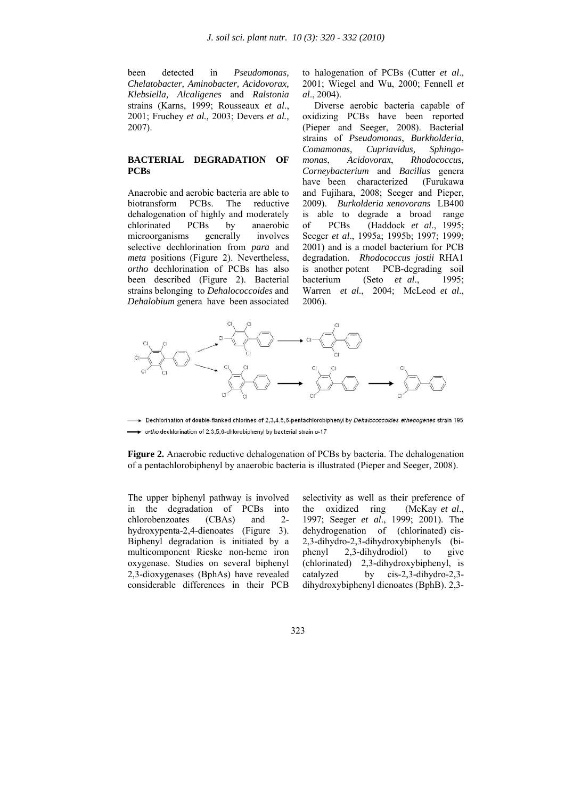been detected in *Pseudomonas, Chelatobacter, Aminobacter, Acidovorax, Klebsiella, Alcaligenes* and *Ralstonia* strains (Karns, 1999; Rousseaux *et al*., 2001; Fruchey *et al.,* 2003; Devers *et al.,* 2007).

### **BACTERIAL DEGRADATION OF PCBs**

Anaerobic and aerobic bacteria are able to biotransform PCBs. The reductive dehalogenation of highly and moderately chlorinated PCBs by anaerobic microorganisms generally involves selective dechlorination from *para* and *meta* positions (Figure 2). Nevertheless, *ortho* dechlorination of PCBs has also been described (Figure 2). Bacterial strains belonging to *Dehalococcoides* and *Dehalobium* genera have been associated

to halogenation of PCBs (Cutter *et al*., 2001; Wiegel and Wu, 2000; Fennell *et al*., 2004).

 Diverse aerobic bacteria capable of oxidizing PCBs have been reported (Pieper and Seeger, 2008). Bacterial strains of *Pseudomonas*, *Burkholderia*, *Comamonas*, *Cupriavidus, Sphingomonas*, *Acidovorax*, *Rhodococcus, Corneybacterium* and *Bacillus* genera have been characterized (Furukawa and Fujihara, 2008; Seeger and Pieper, 2009). *Burkolderia xenovorans* LB400 is able to degrade a broad range of PCBs (Haddock *et al*., 1995; Seeger *et al*., 1995a; 1995b; 1997; 1999; 2001) and is a model bacterium for PCB degradation. *Rhodococcus jostii* RHA1 is another potent PCB-degrading soil bacterium (Seto *et al*., 1995; Warren *et al*., 2004; McLeod *et al*., 2006).



→ Dechlorination of double-flanked chlorines of 2,3,4,5,6-pentachlorobiphenyl by *Dehalococcoides ethenogenes* strain 195 → ortho dechlorination of 2,3,5,6-chlorobiphenyl by bacterial strain o-17

**Figure 2.** Anaerobic reductive dehalogenation of PCBs by bacteria. The dehalogenation of a pentachlorobiphenyl by anaerobic bacteria is illustrated (Pieper and Seeger, 2008).

The upper biphenyl pathway is involved in the degradation of PCBs into chlorobenzoates (CBAs) and 2 hydroxypenta-2,4-dienoates (Figure 3). Biphenyl degradation is initiated by a multicomponent Rieske non-heme iron oxygenase. Studies on several biphenyl 2,3-dioxygenases (BphAs) have revealed considerable differences in their PCB

selectivity as well as their preference of the oxidized ring (McKay *et al*., 1997; Seeger *et al*., 1999; 2001). The dehydrogenation of (chlorinated) cis-2,3-dihydro-2,3-dihydroxybiphenyls (biphenyl 2,3-dihydrodiol) to give (chlorinated) 2,3-dihydroxybiphenyl, is catalyzed by cis-2,3-dihydro-2,3 dihydroxybiphenyl dienoates (BphB). 2,3-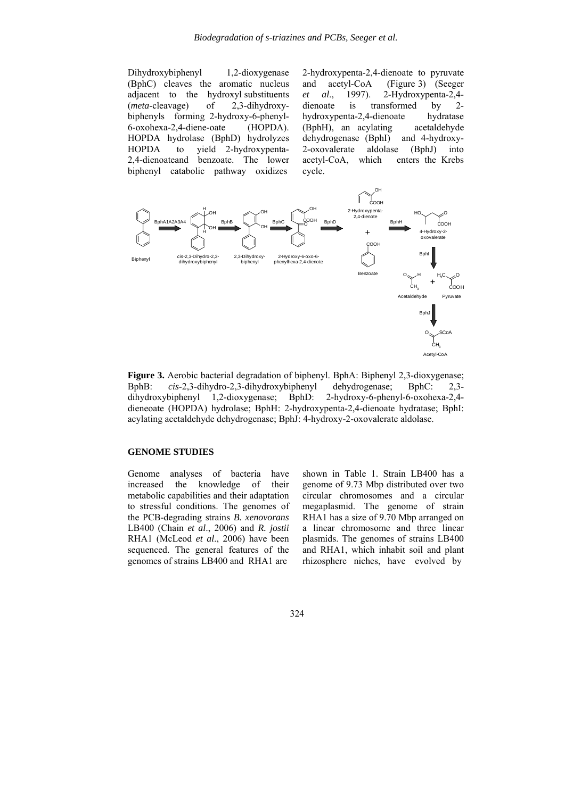Dihydroxybiphenyl 1,2-dioxygenase (BphC) cleaves the aromatic nucleus adjacent to the hydroxyl substituents (*meta*-cleavage) of 2,3-dihydroxybiphenyls forming 2-hydroxy-6-phenyl-6-oxohexa-2,4-diene-oate (HOPDA). HOPDA hydrolase (BphD) hydrolyzes HOPDA to yield 2-hydroxypenta-2,4-dienoateand benzoate. The lower biphenyl catabolic pathway oxidizes

2-hydroxypenta-2,4-dienoate to pyruvate and acetyl-CoA (Figure 3) (Seeger *et al*., 1997). 2-Hydroxypenta-2,4 dienoate is transformed by 2 hydroxypenta-2,4-dienoate hydratase (BphH), an acylating acetaldehyde dehydrogenase (BphI) and 4-hydroxy-2-oxovalerate aldolase (BphJ) into acetyl-CoA, which enters the Krebs cycle.



**Figure 3.** Aerobic bacterial degradation of biphenyl. BphA: Biphenyl 2,3-dioxygenase; BphB: *cis*-2,3-dihydro-2,3-dihydroxybiphenyl dehydrogenase; BphC: 2,3 dihydroxybiphenyl 1,2-dioxygenase; BphD: 2-hydroxy-6-phenyl-6-oxohexa-2,4 dieneoate (HOPDA) hydrolase; BphH: 2-hydroxypenta-2,4-dienoate hydratase; BphI: acylating acetaldehyde dehydrogenase; BphJ: 4-hydroxy-2-oxovalerate aldolase.

### **GENOME STUDIES**

Genome analyses of bacteria have increased the knowledge of their metabolic capabilities and their adaptation to stressful conditions. The genomes of the PCB-degrading strains *B. xenovorans* LB400 (Chain *et al*., 2006) and *R. jostii* RHA1 (McLeod *et al*., 2006) have been sequenced. The general features of the genomes of strains LB400 and RHA1 are

shown in Table 1. Strain LB400 has a genome of 9.73 Mbp distributed over two circular chromosomes and a circular megaplasmid. The genome of strain RHA1 has a size of 9.70 Mbp arranged on a linear chromosome and three linear plasmids. The genomes of strains LB400 and RHA1, which inhabit soil and plant rhizosphere niches, have evolved by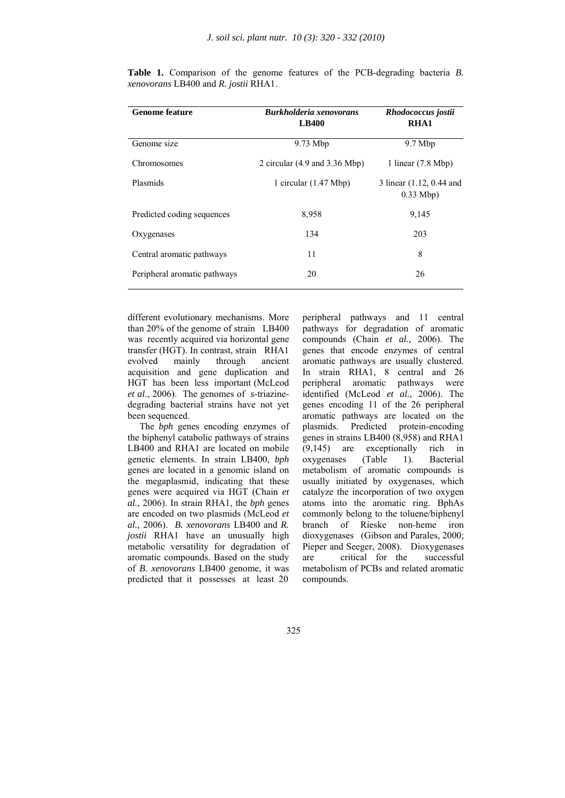| <b>Genome feature</b>        | <b>Burkholderia xenovorans</b><br><b>LB400</b>   | Rhodococcus jostii<br><b>RHA1</b>       |
|------------------------------|--------------------------------------------------|-----------------------------------------|
| Genome size                  | $9.73$ Mbp                                       | $9.7$ Mbp                               |
| Chromosomes                  | 2 circular $(4.9 \text{ and } 3.36 \text{ Mbp})$ | 1 linear $(7.8 \text{ Mbp})$            |
| Plasmids                     | 1 circular $(1.47 \text{ Mbp})$                  | 3 linear (1.12, 0.44 and<br>$0.33$ Mbp) |
| Predicted coding sequences   | 8,958                                            | 9,145                                   |
| Oxygenases                   | 134                                              | 203                                     |
| Central aromatic pathways    | 11                                               | 8                                       |
| Peripheral aromatic pathways | 20                                               | 26                                      |

**Table 1.** Comparison of the genome features of the PCB-degrading bacteria *B. xenovorans* LB400 and *R. jostii* RHA1.

different evolutionary mechanisms. More than 20% of the genome of strain LB400 was recently acquired via horizontal gene transfer (HGT). In contrast, strain RHA1 evolved mainly through ancient acquisition and gene duplication and HGT has been less important (McLeod *et al*., 2006). The genomes of *s*-triazinedegrading bacterial strains have not yet been sequenced.

 The *bph* genes encoding enzymes of the biphenyl catabolic pathways of strains LB400 and RHA1 are located on mobile genetic elements. In strain LB400, *bph* genes are located in a genomic island on the megaplasmid, indicating that these genes were acquired via HGT (Chain *et al.,* 2006). In strain RHA1, the *bph* genes are encoded on two plasmids (McLeod *et al.,* 2006). *B. xenovorans* LB400 and *R. jostii* RHA1 have an unusually high metabolic versatility for degradation of aromatic compounds. Based on the study of *B. xenovorans* LB400 genome, it was predicted that it possesses at least 20

peripheral pathways and 11 central pathways for degradation of aromatic compounds (Chain *et al.,* 2006). The genes that encode enzymes of central aromatic pathways are usually clustered. In strain RHA1, 8 central and 26 peripheral aromatic pathways were identified (McLeod *et al.,* 2006). The genes encoding 11 of the 26 peripheral aromatic pathways are located on the<br>plasmids. Predicted protein-encoding Predicted protein-encoding genes in strains LB400 (8,958) and RHA1 (9,145) are exceptionally rich in oxygenases (Table 1). Bacterial metabolism of aromatic compounds is usually initiated by oxygenases, which catalyze the incorporation of two oxygen atoms into the aromatic ring. BphAs commonly belong to the toluene/biphenyl branch of Rieske non-heme iron dioxygenases (Gibson and Parales, 2000; Pieper and Seeger, 2008). Dioxygenases are critical for the successful metabolism of PCBs and related aromatic compounds.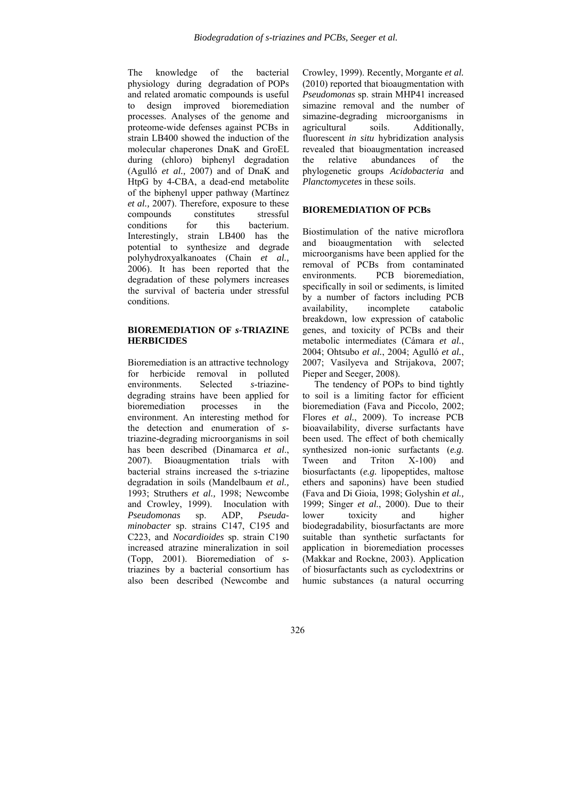The knowledge of the bacterial physiology during degradation of POPs and related aromatic compounds is useful to design improved bioremediation processes. Analyses of the genome and proteome-wide defenses against PCBs in strain LB400 showed the induction of the molecular chaperones DnaK and GroEL during (chloro) biphenyl degradation (Agulló *et al.,* 2007) and of DnaK and HtpG by 4-CBA, a dead-end metabolite of the biphenyl upper pathway (Martínez *et al.,* 2007). Therefore, exposure to these compounds constitutes stressful conditions for this bacterium. Interestingly, strain LB400 has the potential to synthesize and degrade polyhydroxyalkanoates (Chain *et al.,* 2006). It has been reported that the degradation of these polymers increases the survival of bacteria under stressful conditions.

# **BIOREMEDIATION OF** *s***-TRIAZINE HERBICIDES**

Bioremediation is an attractive technology for herbicide removal in polluted environments. Selected *s*-triazinedegrading strains have been applied for bioremediation processes in the environment. An interesting method for the detection and enumeration of *s*triazine-degrading microorganisms in soil has been described (Dinamarca *et al*., 2007). Bioaugmentation trials with bacterial strains increased the *s*-triazine degradation in soils (Mandelbaum *et al.,* 1993; Struthers *et al.,* 1998; Newcombe and Crowley, 1999). Inoculation with *Pseudomonas* sp. ADP, *Pseudaminobacter* sp. strains C147, C195 and C223, and *Nocardioides* sp. strain C190 increased atrazine mineralization in soil (Topp, 2001). Bioremediation of *s*triazines by a bacterial consortium has also been described (Newcombe and

Crowley, 1999). Recently, Morgante *et al.* (2010) reported that bioaugmentation with *Pseudomonas* sp. strain MHP41 increased simazine removal and the number of simazine-degrading microorganisms in agricultural soils. Additionally, fluorescent *in situ* hybridization analysis revealed that bioaugmentation increased the relative abundances of the phylogenetic groups *Acidobacteria* and *Planctomycetes* in these soils.

#### **BIOREMEDIATION OF PCBs**

Biostimulation of the native microflora and bioaugmentation with selected microorganisms have been applied for the removal of PCBs from contaminated environments. PCB bioremediation, specifically in soil or sediments, is limited by a number of factors including PCB availability, incomplete catabolic breakdown, low expression of catabolic genes, and toxicity of PCBs and their metabolic intermediates (Cámara *et al.*, 2004; Ohtsubo *et al.*, 2004; Agulló *et al.*, 2007; Vasilyeva and Strijakova, 2007; Pieper and Seeger, 2008).

 The tendency of POPs to bind tightly to soil is a limiting factor for efficient bioremediation (Fava and Piccolo, 2002; Flores *et al.*, 2009). To increase PCB bioavailability, diverse surfactants have been used. The effect of both chemically synthesized non-ionic surfactants (*e.g.* Tween and Triton X-100) and biosurfactants (*e.g.* lipopeptides, maltose ethers and saponins) have been studied (Fava and Di Gioia, 1998; Golyshin *et al.,* 1999; Singer *et al.*, 2000). Due to their lower toxicity and higher biodegradability, biosurfactants are more suitable than synthetic surfactants for application in bioremediation processes (Makkar and Rockne, 2003). Application of biosurfactants such as cyclodextrins or humic substances (a natural occurring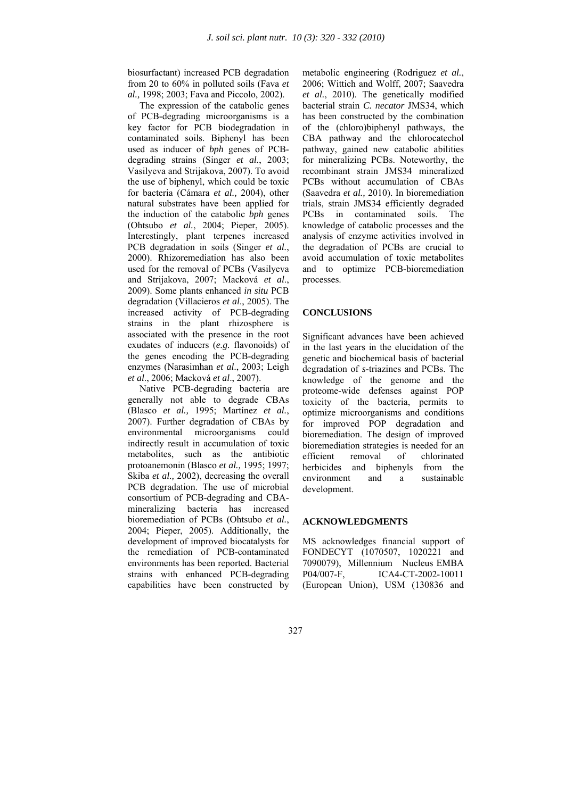biosurfactant) increased PCB degradation from 20 to 60% in polluted soils (Fava *et al.,* 1998; 2003; Fava and Piccolo, 2002).

 The expression of the catabolic genes of PCB-degrading microorganisms is a key factor for PCB biodegradation in contaminated soils. Biphenyl has been used as inducer of *bph* genes of PCBdegrading strains (Singer *et al.*, 2003; Vasilyeva and Strijakova, 2007). To avoid the use of biphenyl, which could be toxic for bacteria (Cámara *et al.,* 2004), other natural substrates have been applied for the induction of the catabolic *bph* genes (Ohtsubo *et al.*, 2004; Pieper, 2005). Interestingly, plant terpenes increased PCB degradation in soils (Singer *et al.*, 2000). Rhizoremediation has also been used for the removal of PCBs (Vasilyeva and Strijakova, 2007; Macková *et al*., 2009). Some plants enhanced *in situ* PCB degradation (Villacieros *et al*., 2005). The increased activity of PCB-degrading strains in the plant rhizosphere is associated with the presence in the root exudates of inducers (*e.g.* flavonoids) of the genes encoding the PCB-degrading enzymes (Narasimhan *et al*., 2003; Leigh *et al*., 2006; Macková *et al*., 2007).

 Native PCB-degrading bacteria are generally not able to degrade CBAs (Blasco *et al.,* 1995; Martínez *et al.*, 2007). Further degradation of CBAs by environmental microorganisms could indirectly result in accumulation of toxic metabolites, such as the antibiotic protoanemonin (Blasco *et al.,* 1995; 1997; Skiba *et al.,* 2002), decreasing the overall PCB degradation. The use of microbial consortium of PCB-degrading and CBAmineralizing bacteria has increased bioremediation of PCBs (Ohtsubo *et al.*, 2004; Pieper, 2005). Additionally, the development of improved biocatalysts for the remediation of PCB-contaminated environments has been reported. Bacterial strains with enhanced PCB-degrading capabilities have been constructed by

metabolic engineering (Rodriguez *et al.*, 2006; Wittich and Wolff, 2007; Saavedra *et al.*, 2010). The genetically modified bacterial strain *C. necator* JMS34, which has been constructed by the combination of the (chloro)biphenyl pathways, the CBA pathway and the chlorocatechol pathway, gained new catabolic abilities for mineralizing PCBs. Noteworthy, the recombinant strain JMS34 mineralized PCBs without accumulation of CBAs (Saavedra *et al.,* 2010). In bioremediation trials, strain JMS34 efficiently degraded<br>PCBs in contaminated soils. The in contaminated soils. The knowledge of catabolic processes and the analysis of enzyme activities involved in the degradation of PCBs are crucial to avoid accumulation of toxic metabolites and to optimize PCB-bioremediation processes.

# **CONCLUSIONS**

Significant advances have been achieved in the last years in the elucidation of the genetic and biochemical basis of bacterial degradation of *s*-triazines and PCBs. The knowledge of the genome and the proteome-wide defenses against POP toxicity of the bacteria, permits to optimize microorganisms and conditions for improved POP degradation and bioremediation. The design of improved bioremediation strategies is needed for an efficient removal of chlorinated herbicides and biphenyls from the environment and a sustainable development.

#### **ACKNOWLEDGMENTS**

MS acknowledges financial support of FONDECYT (1070507, 1020221 and 7090079), Millennium Nucleus EMBA P04/007-F, ICA4-CT-2002-10011 (European Union), USM (130836 and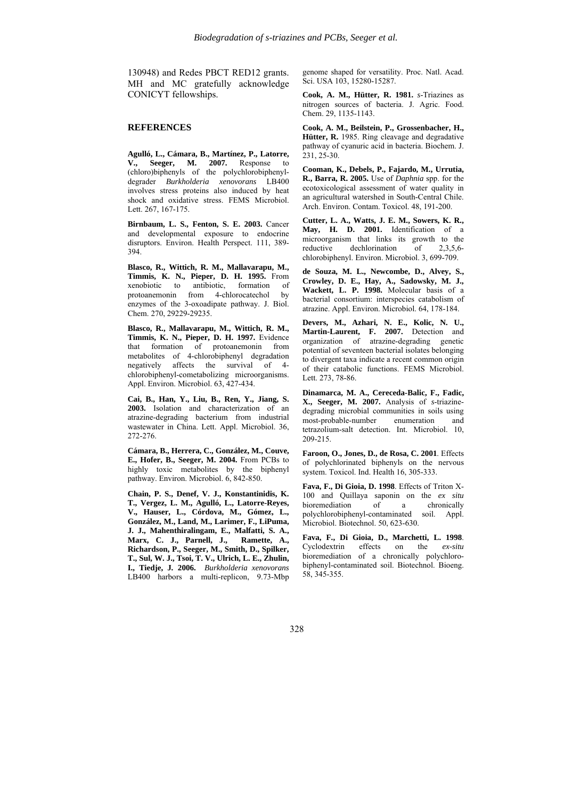130948) and Redes PBCT RED12 grants. MH and MC gratefully acknowledge CONICYT fellowships.

#### **REFERENCES**

**Agulló, L., Cámara, B., Martínez, P., Latorre, V., Seeger, M. 2007.** Response to (chloro)biphenyls of the polychlorobiphenyldegrader *Burkholderia xenovorans* LB400 involves stress proteins also induced by heat shock and oxidative stress. FEMS Microbiol. Lett. 267, 167-175.

**Birnbaum, L. S., Fenton, S. E. 2003.** Cancer and developmental exposure to endocrine disruptors. Environ. Health Perspect. 111, 389- 394.

**Blasco, R., Wittich, R. M., Mallavarapu, M., Timmis, K. N., Pieper, D. H. 1995.** From xenobiotic to antibiotic, formation of protoanemonin from 4-chlorocatechol by enzymes of the 3-oxoadipate pathway. J. Biol. Chem. 270, 29229-29235.

**Blasco, R., Mallavarapu, M., Wittich, R. M., Timmis, K. N., Pieper, D. H. 1997.** Evidence that formation of protoanemonin from metabolites of 4-chlorobiphenyl degradation negatively affects the survival of 4 chlorobiphenyl-cometabolizing microorganisms. Appl. Environ. Microbiol. 63, 427-434.

**Cai, B., Han, Y., Liu, B., Ren, Y., Jiang, S. 2003.** Isolation and characterization of an atrazine-degrading bacterium from industrial wastewater in China. Lett. Appl. Microbiol. 36, 272-276.

**Cámara, B., Herrera, C., González, M., Couve, E., Hofer, B., Seeger, M. 2004.** From PCBs to highly toxic metabolites by the biphenyl pathway. Environ. Microbiol. 6, 842-850.

**Chain, P. S., Denef, V. J., Konstantinidis, K. T., Vergez, L. M., Agulló, L., Latorre-Reyes, V., Hauser, L., Córdova, M., Gómez, L., González, M., Land, M., Larimer, F., LiPuma, J. J., Mahenthiralingam, E., Malfatti, S. A., Marx, C. J., Parnell, J., Ramette, A., Richardson, P., Seeger, M., Smith, D., Spilker, T., Sul, W. J., Tsoi, T. V., Ulrich, L. E., Zhulin, I., Tiedje, J***.* **2006.** *Burkholderia xenovorans* LB400 harbors a multi-replicon, 9.73-Mbp

genome shaped for versatility. Proc. Natl. Acad. Sci. USA 103, 15280-15287.

**Cook, A. M., Hütter, R. 1981.** *s*-Triazines as nitrogen sources of bacteria. J. Agric. Food. Chem. 29, 1135-1143.

**Cook, A. M., Beilstein, P., Grossenbacher, H., Hütter, R.** 1985. Ring cleavage and degradative pathway of cyanuric acid in bacteria. Biochem. J.  $231, 25 - 30.$ 

**Cooman, K., Debels, P., Fajardo, M., Urrutia, R., Barra, R. 2005.** Use of *Daphnia* spp. for the ecotoxicological assessment of water quality in an agricultural watershed in South-Central Chile. Arch. Environ. Contam. Toxicol. 48, 191-200.

**Cutter, L. A., Watts, J. E. M., Sowers, K. R., May, H. D. 2001.** Identification of a microorganism that links its growth to the reductive dechlorination of 2.3.5.6 $dechlorination$  of  $2,3,5,6$ chlorobiphenyl. Environ. Microbiol. 3, 699-709.

**de Souza, M. L., Newcombe, D., Alvey, S., Crowley, D. E., Hay, A., Sadowsky, M. J., Wackett, L. P. 1998.** Molecular basis of a bacterial consortium: interspecies catabolism of atrazine. Appl. Environ. Microbiol. 64, 178-184.

**Devers, M., Azhari, N. E., Kolic, N. U., Martin-Laurent, F. 2007.** Detection and organization of atrazine-degrading genetic potential of seventeen bacterial isolates belonging to divergent taxa indicate a recent common origin of their catabolic functions. FEMS Microbiol. Lett. 273, 78-86.

**Dinamarca, M. A., Cereceda-Balic, F., Fadic, X., Seeger, M. 2007.** Analysis of *s*-triazinedegrading microbial communities in soils using most-probable-number enumeration and tetrazolium-salt detection. Int. Microbiol. 10, 209-215.

**Faroon, O., Jones, D., de Rosa, C. 2001**. Effects of polychlorinated biphenyls on the nervous system. Toxicol. Ind. Health 16, 305-333.

**Fava, F., Di Gioia, D. 1998**. Effects of Triton X-100 and Quillaya saponin on the *ex situ* bioremediation of a chronically polychlorobiphenyl-contaminated soil. Appl. Microbiol. Biotechnol. 50, 623-630.

**Fava, F., Di Gioia, D., Marchetti, L. 1998**. Cyclodextrin effects on the *ex-situ* bioremediation of a chronically polychlorobiphenyl-contaminated soil. Biotechnol. Bioeng. 58, 345-355.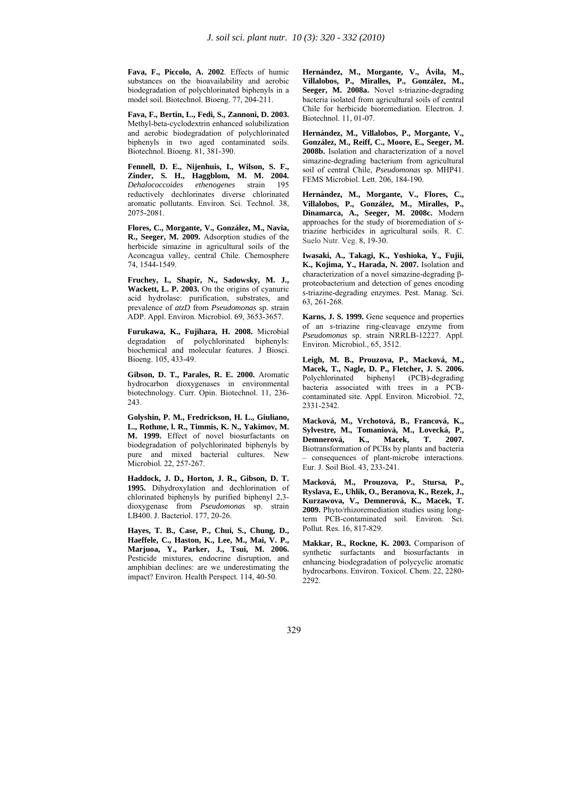**Fava, F., Piccolo, A. 2002**. Effects of humic substances on the bioavailability and aerobic biodegradation of polychlorinated biphenyls in a model soil. Biotechnol. Bioeng. 77, 204-211.

**Fava, F., Bertin, L., Fedi, S., Zannoni, D. 2003.** Methyl-beta-cyclodextrin enhanced solubilization and aerobic biodegradation of polychlorinated biphenyls in two aged contaminated soils. Biotechnol. Bioeng. 81, 381-390.

**Fennell, D. E., Nijenhuis, I., Wilson, S. F., Zinder, S. H., Haggblom, M. M. 2004.**  *Dehalococcoides ethenogenes* strain 195 reductively dechlorinates diverse chlorinated aromatic pollutants. Environ. Sci. Technol. 38, 2075-2081.

**Flores, C., Morgante, V., González, M., Navia, R., Seeger, M. 2009.** Adsorption studies of the herbicide simazine in agricultural soils of the Aconcagua valley, central Chile. Chemosphere 74, 1544-1549.

**Fruchey, I., Shapir, N., Sadowsky, M. J., Wackett, L. P. 2003.** On the origins of cyanuric acid hydrolase: purification, substrates, and prevalence of *atzD* from *Pseudomonas* sp. strain ADP. Appl. Environ. Microbiol. 69, 3653-3657.

**Furukawa, K., Fujihara, H. 2008.** Microbial degradation of polychlorinated biphenyls: biochemical and molecular features. J Biosci. Bioeng. 105, 433-49.

**Gibson, D. T., Parales, R. E. 2000.** Aromatic hydrocarbon dioxygenases in environmental biotechnology. Curr. Opin. Biotechnol. 11, 236- 243.

**Golyshin, P. M., Fredrickson, H. L., Giuliano, L., Rothme, l. R., Timmis, K. N., Yakimov, M. M. 1999.** Effect of novel biosurfactants on biodegradation of polychlorinated biphenyls by pure and mixed bacterial cultures. New Microbiol. 22, 257-267.

**Haddock, J. D., Horton, J. R., Gibson, D. T. 1995.** Dihydroxylation and dechlorination of chlorinated biphenyls by purified biphenyl 2,3 dioxygenase from *Pseudomonas* sp. strain LB400. J. Bacteriol. 177, 20-26.

**Hayes, T. B., Case, P., Chui, S., Chung, D., Haeffele, C., Haston, K., Lee, M., Mai, V. P., Marjuoa, Y., Parker, J., Tsui, M. 2006.**  Pesticide mixtures, endocrine disruption, and amphibian declines: are we underestimating the impact? Environ. Health Perspect. 114, 40-50.

**Hernández, M., Morgante, V., Ávila, M., Villalobos, P., Miralles, P., González, M., Seeger, M. 2008a.** Novel *s*-triazine-degrading bacteria isolated from agricultural soils of central Chile for herbicide bioremediation. Electron. J. Biotechnol. 11, 01-07.

**Hernández, M., Villalobos, P., Morgante, V., González, M., Reiff, C., Moore, E., Seeger, M. 2008b.** Isolation and characterization of a novel simazine-degrading bacterium from agricultural soil of central Chile, *Pseudomonas* sp. MHP41. FEMS Microbiol. Lett. 206, 184-190.

**Hernández, M., Morgante, V., Flores, C., Villalobos, P., González, M., Miralles, P., Dinamarca, A., Seeger, M. 2008c.** Modern approaches for the study of bioremediation of *s*triazine herbicides in agricultural soils. R. C. Suelo Nutr. Veg. 8, 19-30.

**Iwasaki, A., Takagi, K., Yoshioka, Y., Fujii, K., Kojima, Y., Harada, N. 2007.** Isolation and characterization of a novel simazine-degrading βproteobacterium and detection of genes encoding *s*-triazine-degrading enzymes. Pest. Manag. Sci. 63, 261-268.

**Karns, J. S. 1999.** Gene sequence and properties of an *s*-triazine ring-cleavage enzyme from *Pseudomonas* sp. strain NRRLB-12227. Appl. Environ. Microbiol., 65, 3512.

**Leigh, M. B., Prouzova, P., Macková, M., Macek, T., Nagle, D. P., Fletcher, J. S. 2006.**  biphenyl (PCB)-degrading bacteria associated with trees in a PCBcontaminated site. Appl. Environ. Microbiol. 72, 2331-2342.

**Macková, M., Vrchotová, B., Francová, K., Sylvestre, M., Tomaniová, M., Lovecká, P.,**  K., Macek, Biotransformation of PCBs by plants and bacteria – consequences of plant-microbe interactions. Eur. J. Soil Biol. 43, 233-241.

**Macková, M., Prouzova, P., Stursa, P., Ryslava, E., Uhlik, O., Beranova, K., Rezek, J., Kurzawova, V., Demnerová, K., Macek, T. 2009.** Phyto/rhizoremediation studies using longterm PCB-contaminated soil. Environ. Sci. Pollut. Res. 16, 817-829.

**Makkar, R., Rockne, K. 2003.** Comparison of synthetic surfactants and biosurfactants in enhancing biodegradation of polycyclic aromatic hydrocarbons. Environ. Toxicol. Chem. 22, 2280- 2292.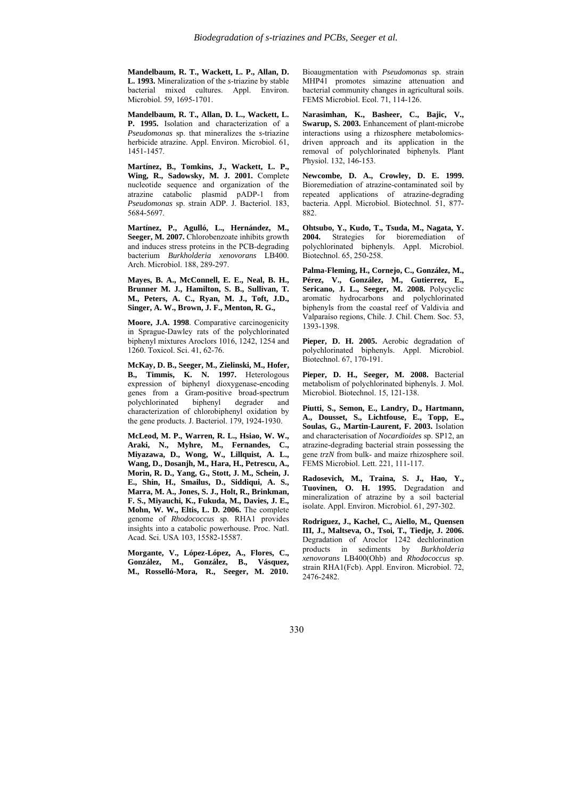**Mandelbaum, R. T., Wackett, L. P., Allan, D. L. 1993.** Mineralization of the *s*-triazine by stable bacterial mixed cultures. Appl. Environ. Microbiol. 59, 1695-1701.

**Mandelbaum, R. T., Allan, D. L., Wackett, L. P. 1995.** Isolation and characterization of a *Pseudomonas* sp. that mineralizes the *s*-triazine herbicide atrazine. Appl. Environ. Microbiol. 61, 1451-1457.

**Martínez, B., Tomkins, J., Wackett, L. P., Wing, R., Sadowsky, M. J. 2001.** Complete nucleotide sequence and organization of the atrazine catabolic plasmid pADP-1 from *Pseudomonas* sp. strain ADP. J. Bacteriol. 183, 5684-5697.

**Martínez, P., Agulló, L., Hernández, M., Seeger, M. 2007.** Chlorobenzoate inhibits growth and induces stress proteins in the PCB-degrading bacterium *Burkholderia xenovorans* LB400. Arch. Microbiol. 188, 289-297.

**Mayes, B. A., McConnell, E. E., Neal, B. H., Brunner M. J., Hamilton, S. B., Sullivan, T. M., Peters, A. C., Ryan, M. J., Toft, J.D., Singer, A. W., Brown, J. F., Menton, R. G.,** 

**Moore, J.A. 1998**. Comparative carcinogenicity in Sprague-Dawley rats of the polychlorinated biphenyl mixtures Aroclors 1016, 1242, 1254 and 1260. Toxicol. Sci. 41, 62-76.

**McKay, D. B., Seeger, M., Zielinski, M., Hofer, B., Timmis, K. N. 1997.** Heterologous expression of biphenyl dioxygenase-encoding genes from a Gram-positive broad-spectrum polychlorinated biphenyl degrader and characterization of chlorobiphenyl oxidation by the gene products. J. Bacteriol. 179, 1924-1930.

**McLeod, M. P., Warren, R. L., Hsiao, W. W., Araki, N., Myhre, M., Fernandes, C., Miyazawa, D., Wong, W., Lillquist, A. L., Wang, D., Dosanjh, M., Hara, H., Petrescu, A., Morin, R. D., Yang, G., Stott, J. M., Schein, J. E., Shin, H., Smailus, D., Siddiqui, A. S., Marra, M. A., Jones, S. J., Holt, R., Brinkman, F. S., Miyauchi, K., Fukuda, M., Davies, J. E., Mohn, W. W., Eltis, L. D. 2006.** The complete genome of *Rhodococcus* sp. RHA1 provides insights into a catabolic powerhouse. Proc. Natl. Acad. Sci. USA 103, 15582-15587.

**Morgante, V., López-López, A., Flores, C., González, M., González, B., Vásquez, M., Rosselló-Mora, R., Seeger, M. 2010.**

Bioaugmentation with *Pseudomonas* sp. strain MHP41 promotes simazine attenuation and bacterial community changes in agricultural soils. FEMS Microbiol. Ecol. 71, 114-126.

**Narasimhan, K., Basheer, C., Bajic, V., Swarup, S. 2003.** Enhancement of plant-microbe interactions using a rhizosphere metabolomicsdriven approach and its application in the removal of polychlorinated biphenyls. Plant Physiol. 132, 146-153.

**Newcombe, D. A., Crowley, D. E. 1999.** Bioremediation of atrazine-contaminated soil by repeated applications of atrazine-degrading bacteria. Appl. Microbiol. Biotechnol. 51, 877- 882.

**Ohtsubo, Y., Kudo, T., Tsuda, M., Nagata, Y. 2004.** Strategies for bioremediation of polychlorinated biphenyls. Appl. Microbiol. Biotechnol. 65, 250-258.

**Palma-Fleming, H., Cornejo, C., González, M., Pérez, V., González, M., Gutierrez, E., Sericano, J. L., Seeger, M. 2008.** Polycyclic aromatic hydrocarbons and polychlorinated biphenyls from the coastal reef of Valdivia and Valparaíso regions, Chile. J. Chil. Chem. Soc. 53, 1393-1398.

**Pieper, D. H. 2005.** Aerobic degradation of polychlorinated biphenyls. Appl. Microbiol. Biotechnol. 67, 170-191.

**Pieper, D. H., Seeger, M. 2008.** Bacterial metabolism of polychlorinated biphenyls. J. Mol. Microbiol. Biotechnol. 15, 121-138.

**Piutti, S., Semon, E., Landry, D., Hartmann, A., Dousset, S., Lichtfouse, E., Topp, E., Soulas, G., Martin-Laurent, F. 2003.** Isolation and characterisation of *Nocardioides* sp. SP12, an atrazine-degrading bacterial strain possessing the gene *trzN* from bulk- and maize rhizosphere soil. FEMS Microbiol. Lett. 221, 111-117.

**Radosevich, M., Traina, S. J., Hao, Y., Tuovinen, O. H. 1995.** Degradation and mineralization of atrazine by a soil bacterial isolate. Appl. Environ. Microbiol. 61, 297-302.

**Rodriguez, J., Kachel, C., Aiello, M., Quensen III, J., Maltseva, O., Tsoi, T., Tiedje, J. 2006.** Degradation of Aroclor 1242 dechlorination products in sediments by *Burkholderia xenovorans* LB400(Ohb) and *Rhodococcus* sp. strain RHA1(Fcb). Appl. Environ. Microbiol. 72, 2476-2482.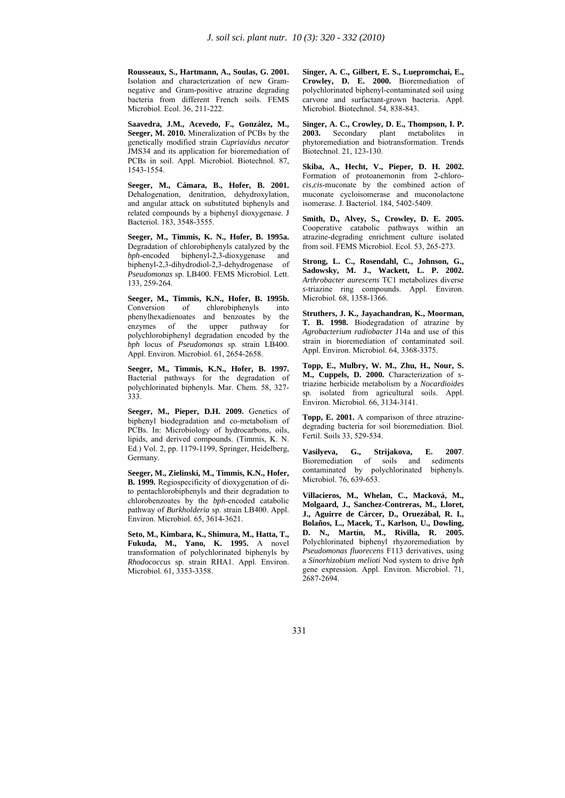**Rousseaux, S., Hartmann, A., Soulas, G. 2001.** Isolation and characterization of new Gramnegative and Gram-positive atrazine degrading bacteria from different French soils. FEMS Microbiol. Ecol. 36, 211-222.

**Saavedra, J.M., Acevedo, F., González, M., Seeger, M. 2010.** Mineralization of PCBs by the genetically modified strain *Cupriavidus necator* JMS34 and its application for bioremediation of PCBs in soil. Appl. Microbiol. Biotechnol. 87, 1543-1554.

**Seeger, M., Cámara, B., Hofer, B. 2001.** Dehalogenation, denitration, dehydroxylation, and angular attack on substituted biphenyls and related compounds by a biphenyl dioxygenase. J Bacteriol. 183, 3548-3555.

**Seeger, M., Timmis, K. N., Hofer, B. 1995a.** Degradation of chlorobiphenyls catalyzed by the *bph*-encoded biphenyl-2,3-dioxygenase and  *biphenyl-2,3-dioxygenase* biphenyl-2,3-dihydrodiol-2,3-dehydrogenase of *Pseudomonas* sp. LB400. FEMS Microbiol. Lett. 133, 259-264.

**Seeger, M., Timmis, K.N., Hofer, B. 1995b.** Conversion of chlorobiphenyls into phenylhexadienoates and benzoates by the enzymes of the upper pathway for polychlorobiphenyl degradation encoded by the *bph* locus of *Pseudomonas* sp. strain LB400. Appl. Environ. Microbiol. 61, 2654-2658.

**Seeger, M., Timmis, K.N., Hofer, B. 1997.** Bacterial pathways for the degradation of polychlorinated biphenyls. Mar. Chem. 58, 327- 333.

Seeger, M., Pieper, D.H. 2009. Genetics of biphenyl biodegradation and co-metabolism of PCBs. In: Microbiology of hydrocarbons, oils, lipids, and derived compounds. (Timmis, K. N. Ed.) Vol. 2, pp. 1179-1199, Springer, Heidelberg, Germany.

**Seeger, M., Zielinski, M., Timmis, K.N., Hofer, B. 1999.** Regiospecificity of dioxygenation of dito pentachlorobiphenyls and their degradation to chlorobenzoates by the *bph*-encoded catabolic pathway of *Burkholderia* sp. strain LB400. Appl. Environ. Microbiol. 65, 3614-3621.

**Seto, M., Kimbara, K., Shimura, M., Hatta, T., Fukuda, M., Yano, K. 1995.** A novel transformation of polychlorinated biphenyls by *Rhodococcus* sp. strain RHA1. Appl. Environ. Microbiol. 61, 3353-3358.

**Singer, A. C., Gilbert, E. S., Luepromchai, E., Crowley, D. E. 2000.** Bioremediation of polychlorinated biphenyl-contaminated soil using carvone and surfactant-grown bacteria. Appl. Microbiol. Biotechnol. 54, 838-843.

**Singer, A. C., Crowley, D. E., Thompson, I. P. 2003.** Secondary plant metabolites in phytoremediation and biotransformation. Trends Biotechnol. 21, 123-130.

**Skiba, A., Hecht, V., Pieper, D. H. 2002.** Formation of protoanemonin from 2-chloro*cis*,*cis*-muconate by the combined action of muconate cycloisomerase and muconolactone isomerase. J. Bacteriol. 184, 5402-5409.

**Smith, D., Alvey, S., Crowley, D. E. 2005.** Cooperative catabolic pathways within an atrazine-degrading enrichment culture isolated from soil. FEMS Microbiol. Ecol. 53, 265-273.

**Strong, L. C., Rosendahl, C., Johnson, G., Sadowsky, M. J., Wackett, L. P. 2002.** *Arthrobacter aurescens* TC1 metabolizes diverse *s*-triazine ring compounds. Appl. Environ. Microbiol. 68, 1358-1366.

**Struthers, J. K., Jayachandran, K., Moorman, T. B. 1998.** Biodegradation of atrazine by *Agrobacterium radiobacter* J14a and use of this strain in bioremediation of contaminated soil. Appl. Environ. Microbiol. 64, 3368-3375.

**Topp, E., Mulbry, W. M., Zhu, H., Nour, S. M., Cuppels, D. 2000.** Characterization of *s*triazine herbicide metabolism by a *Nocardioides* sp. isolated from agricultural soils. Appl. Environ. Microbiol. 66, 3134-3141.

**Topp, E. 2001.** A comparison of three atrazinedegrading bacteria for soil bioremediation. Biol. Fertil. Soils 33, 529-534.

**Vasilyeva, G., Strijakova, E. 2007**. Bioremediation of soils and sediments contaminated by polychlorinated biphenyls. Microbiol. 76, 639-653.

**Villacieros, M., Whelan, C., Macková, M., Molgaard, J., Sanchez-Contreras, M., Lloret, J., Aguirre de Cárcer, D., Oruezábal, R. I., Bolaños, L., Macek, T., Karlson, U., Dowling, D. N., Martín, M., Rivilla, R. 2005.** Polychlorinated biphenyl rhyzoremediation by *Pseudomonas fluorecens* F113 derivatives, using a *Sinorhizobium melioti* Nod system to drive *bph* gene expression. Appl. Environ. Microbiol. 71, 2687-2694.